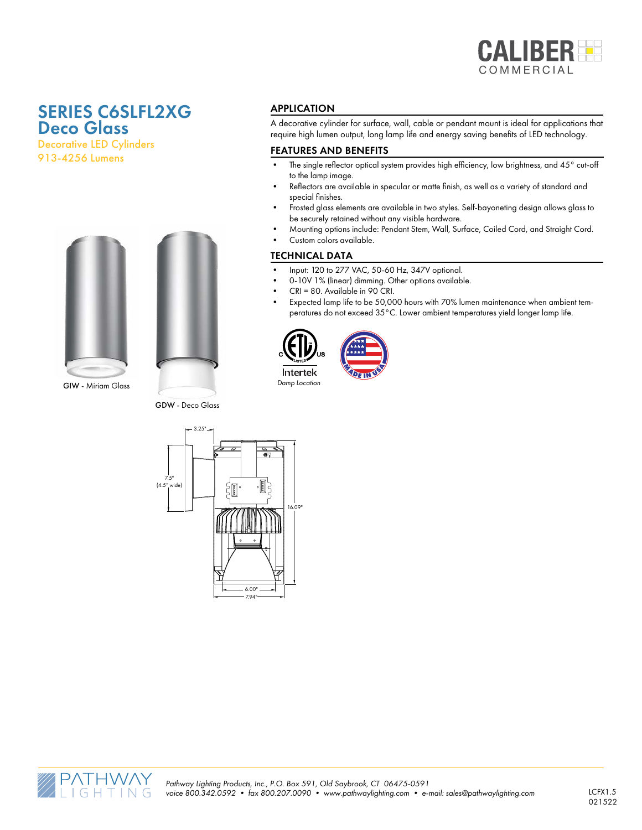

# SERIES C6SLFL2XG Deco Glass

Decorative LED Cylinders 913-4256 Lumens



GDW - Deco Glass

#### APPLICATION

A decorative cylinder for surface, wall, cable or pendant mount is ideal for applications that require high lumen output, long lamp life and energy saving benefits of LED technology.

#### FEATURES AND BENEFITS

- The single reflector optical system provides high efficiency, low brightness, and 45° cut-off to the lamp image.
- Reflectors are available in specular or matte finish, as well as a variety of standard and special finishes.
- Frosted glass elements are available in two styles. Self-bayoneting design allows glass to be securely retained without any visible hardware.
- Mounting options include: Pendant Stem, Wall, Surface, Coiled Cord, and Straight Cord.
	- Custom colors available.

#### TECHNICAL DATA

- Input: 120 to 277 VAC, 50-60 Hz, 347V optional.
- 0-10V 1% (linear) dimming. Other options available.

 $\sqrt{25}$ 

- CRI = 80. Available in 90 CRI.
- Expected lamp life to be 50,000 hours with 70% lumen maintenance when ambient temperatures do not exceed 35°C. Lower ambient temperatures yield longer lamp life.





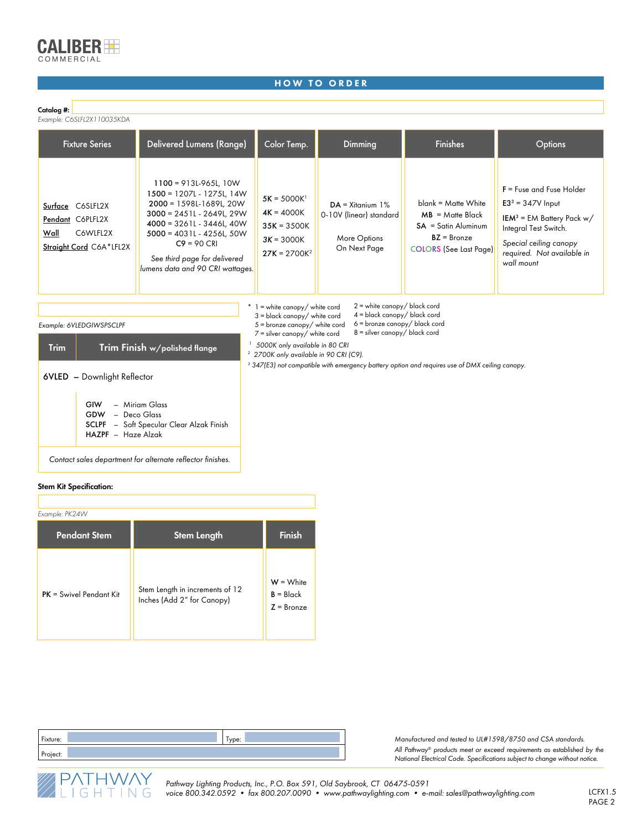

#### HOW TO ORDER

#### Catalog #:

*Example: C6SLFL2X110035KDA*

| <b>Fixture Series</b>                                                               | Delivered Lumens (Range)                                                                                                                                                                                                                                          | Color Temp.                                                                      | Dimming                                                                       | <b>Finishes</b>                                                                                                         | <b>Options</b>                                                                                                                                                                                     |  |  |  |
|-------------------------------------------------------------------------------------|-------------------------------------------------------------------------------------------------------------------------------------------------------------------------------------------------------------------------------------------------------------------|----------------------------------------------------------------------------------|-------------------------------------------------------------------------------|-------------------------------------------------------------------------------------------------------------------------|----------------------------------------------------------------------------------------------------------------------------------------------------------------------------------------------------|--|--|--|
| Surface C6SLFL2X<br>Pendant C6PLFL2X<br>C6WLFL2X<br>Wall<br>Straight Cord C6A*LFL2X | $1100 = 913L-965L, 10W$<br>1500 = 1207L - 1275L, 14W<br>2000 = 1598L-1689L, 20W<br>$3000 = 2451L - 2649L, 29W$<br>$4000 = 3261L - 3446L, 40W$<br>$5000 = 4031L - 4256L, 50W$<br>$C9 = 90$ CRI<br>See third page for delivered<br>lumens data and 90 CRI wattages. | $5K = 5000K$<br>$4K = 4000K$<br>$35K = 3500K$<br>$3K = 3000K$<br>$27K = 2700K^2$ | $DA = Xitanium$ 1%<br>0-10V (linear) standard<br>More Options<br>On Next Page | $blank = Matte White$<br>$MB = M$ atte Black<br>$SA = Satin$ Aluminum<br>$BZ = Bronze$<br><b>COLORS</b> (See Last Page) | $F = F$ use and Fuse Holder<br>$E33 = 347V$ Input<br><b>IEM</b> <sup>3</sup> = EM Battery Pack $w/$<br>Integral Test Switch.<br>Special ceiling canopy<br>required. Not available in<br>wall mount |  |  |  |
| $2 =$ white canopy/ black cord<br>$*$ 1 = white canopy/ white cord                  |                                                                                                                                                                                                                                                                   |                                                                                  |                                                                               |                                                                                                                         |                                                                                                                                                                                                    |  |  |  |

4 = black canopy/ black cord

| Example: 6VLEDGIWSPSCLPF |                                                                                                                                                         | $6$ = bronze canopy/ black cord<br>$5 =$ bronze canopy/ white cord<br>$8 =$ silver canopy/ black cord<br>$7 =$ silver canopy/ white cord |
|--------------------------|---------------------------------------------------------------------------------------------------------------------------------------------------------|------------------------------------------------------------------------------------------------------------------------------------------|
| <b>Trim</b>              | Trim Finish w/polished flange                                                                                                                           | 5000K only available in 80 CRI<br><sup>2</sup> 2700K only available in 90 CRI (C9).                                                      |
|                          | 6VLED - Downlight Reflector<br>- Miriam Glass<br>GIW<br>GDW<br>- Deco Glass<br>- Soft Specular Clear Alzak Finish<br><b>SCLPF</b><br>HAZPF - Haze Alzak | <sup>3</sup> 347(E3) not compatible with emergency battery option and requires use of DMX ceiling canopy.                                |
|                          | Contact sales department for alternate reflector finishes.                                                                                              |                                                                                                                                          |

3 = black canopy/ white cord

#### Stem Kit Specification:

| Example: PK24W            |                                                               |                                            |  |  |  |  |
|---------------------------|---------------------------------------------------------------|--------------------------------------------|--|--|--|--|
| <b>Pendant Stem</b>       | <b>Stem Length</b>                                            | <b>Finish</b>                              |  |  |  |  |
| $PK = Swivel$ Pendant Kit | Stem Length in increments of 12<br>Inches (Add 2" for Canopy) | $W = White$<br>$B = Black$<br>$Z = Bronze$ |  |  |  |  |

| Fixture: | ype: |  |
|----------|------|--|
| Project: |      |  |

*Manufactured and tested to UL#1598/8750 and CSA standards. All Pathway® products meet or exceed requirements as established by the National Electrical Code. Specifications subject to change without notice.* 

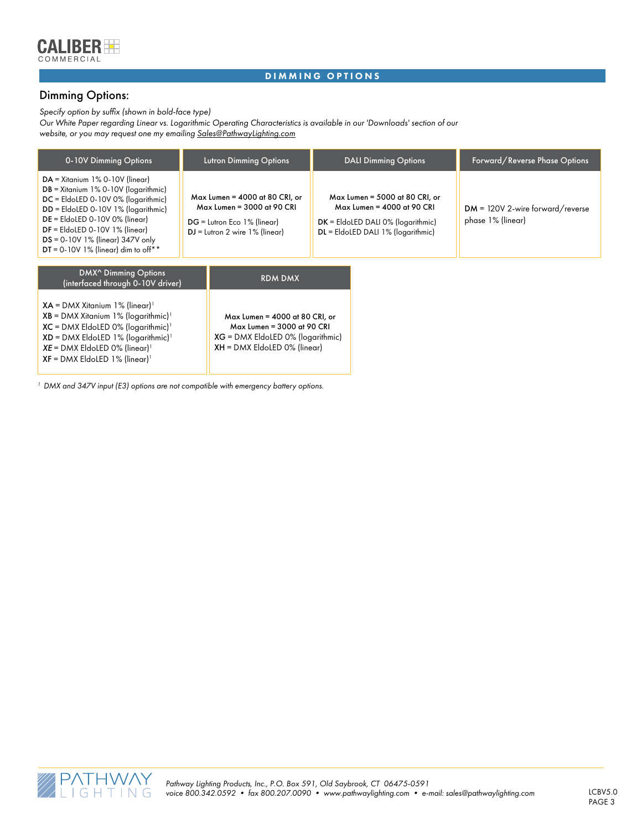

#### DIMMING OPTIONS

## Dimming Options:

*Specify option by suffix (shown in bold-face type)*

*Our White Paper regarding Linear vs. Logarithmic Operating Characteristics is available in our 'Downloads' section of our website, or you may request one my emailing Sales@PathwayLighting.com*

| 0-10V Dimming Options                                                                                                                                                                                                                                                                                                     |  | <b>Lutron Dimming Options</b>                                                                                                           | <b>DALI Dimming Options</b>                                                                                                                  |  | Forward/Reverse Phase Options                           |  |
|---------------------------------------------------------------------------------------------------------------------------------------------------------------------------------------------------------------------------------------------------------------------------------------------------------------------------|--|-----------------------------------------------------------------------------------------------------------------------------------------|----------------------------------------------------------------------------------------------------------------------------------------------|--|---------------------------------------------------------|--|
| $DA = X$ itanium 1% 0-10V (linear)<br>$DB = X$ itanium 1% 0-10V ( $logarithmic$ )<br>DC = EldoLED 0-10V 0% (logarithmic)<br>$DD =$ EldoLED 0-10V 1% (logarithmic)<br>$DE = E$ IdoLED 0-10V 0% (linear)<br>$DF =$ EldoLED 0-10V 1% (linear)<br>$DS = 0-10V$ 1% (linear) 347V only<br>DT = 0-10V 1% (linear) dim to off $*$ |  | $Max$ Lumen = 4000 at 80 CRI, or<br>Max Lumen = 3000 at 90 CRI<br>DG = Lutron Eco 1% (linear)<br>$DJ = Lutron 2 wire 1% (linear)$       | $Max$ Lumen = 5000 at 80 CRI, or<br>Max Lumen = 4000 at 90 CRI<br>$DK = EldoLED DALI 0% (logarithmic)$<br>DL = EldoLED DALI 1% (logarithmic) |  | $DM = 120V$ 2-wire forward/reverse<br>phase 1% (linear) |  |
| DMX <sup>^</sup> Dimming Options<br>(interfaced through 0-10V driver)                                                                                                                                                                                                                                                     |  | <b>RDM DMX</b>                                                                                                                          |                                                                                                                                              |  |                                                         |  |
| $XA = DMX$ Xitanium 1% (linear) <sup>1</sup><br>$XB = DMX$ Xitanium 1% (logarithmic) <sup>1</sup><br>$XC = DMX$ EldoLED 0% (logarithmic) <sup>1</sup><br>$XD = DMX$ EldoLED 1% (logarithmic) <sup>1</sup><br>$XE = DMX$ EldoLED 0% (linear) <sup>1</sup><br>$XF = DMX$ EldoLED 1% (linear) <sup>1</sup>                   |  | Max Lumen = $4000$ at 80 CRI, or<br>Max Lumen = 3000 at 90 CRI<br>$XG = DMX$ EldoLED 0% (logarithmic)<br>$XH = DMX$ EldoLED 0% (linear) |                                                                                                                                              |  |                                                         |  |

*<sup>1</sup> DMX and 347V input (E3) options are not compatible with emergency battery options.*

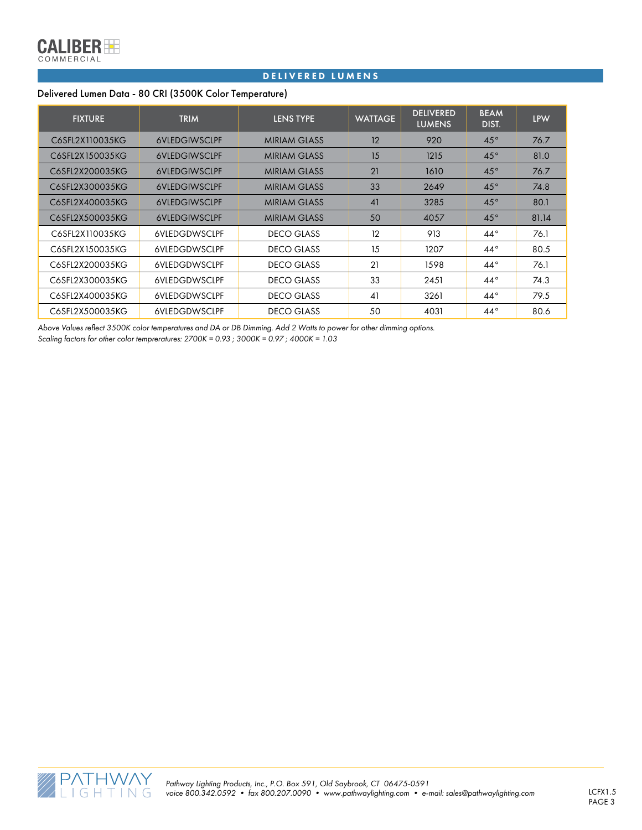

#### DELIVERED LUMENS

#### Delivered Lumen Data - 80 CRI (3500K Color Temperature)

| <b>FIXTURE</b>  | <b>TRIM</b>          | <b>LENS TYPE</b>    | <b>WATTAGE</b> | <b>DELIVERED</b><br><b>LUMENS</b> | <b>BEAM</b><br>DIST. | <b>LPW</b> |
|-----------------|----------------------|---------------------|----------------|-----------------------------------|----------------------|------------|
| C6SFL2X110035KG | <b>6VLEDGIWSCLPF</b> | <b>MIRIAM GLASS</b> | 12             | 920                               | $45^{\circ}$         | 76.7       |
| C6SFL2X150035KG | <b>6VLEDGIWSCLPF</b> | <b>MIRIAM GLASS</b> | 15             | 1215                              | $45^{\circ}$         | 81.0       |
| C6SFL2X200035KG | <b>6VLEDGIWSCLPF</b> | <b>MIRIAM GLASS</b> | 21             | 1610                              | $45^{\circ}$         | 76.7       |
| C6SFL2X300035KG | <b>6VLEDGIWSCLPF</b> | <b>MIRIAM GLASS</b> | 33             | 2649                              | $45^{\circ}$         | 74.8       |
| C6SFL2X400035KG | <b>6VLEDGIWSCLPF</b> | <b>MIRIAM GLASS</b> | 41             | 3285                              | $45^{\circ}$         | 80.1       |
| C6SFL2X500035KG | <b>6VLEDGIWSCLPF</b> | <b>MIRIAM GLASS</b> | 50             | 4057                              | $45^\circ$           | 81.14      |
| C6SFL2X110035KG | <b>6VLEDGDWSCLPF</b> | <b>DECO GLASS</b>   | 12             | 913                               | $44^{\circ}$         | 76.1       |
| C6SFL2X150035KG | <b>6VLEDGDWSCLPF</b> | DECO GLASS          | 15             | 1207                              | $44^{\circ}$         | 80.5       |
| C6SFL2X200035KG | <b>6VLEDGDWSCLPF</b> | <b>DECO GLASS</b>   | 21             | 1598                              | $44^{\circ}$         | 76.1       |
| C6SFL2X300035KG | <b>6VLEDGDWSCLPF</b> | <b>DECO GLASS</b>   | 33             | 2451                              | $44^\circ$           | 74.3       |
| C6SFL2X400035KG | <b>6VLEDGDWSCLPF</b> | <b>DECO GLASS</b>   | 41             | 3261                              | $44^{\circ}$         | 79.5       |
| C6SFL2X500035KG | <b>6VLEDGDWSCLPF</b> | <b>DECO GLASS</b>   | 50             | 4031                              | $44^{\circ}$         | 80.6       |

*Above Values reflect 3500K color temperatures and DA or DB Dimming. Add 2 Watts to power for other dimming options. Scaling factors for other color tempreratures: 2700K = 0.93 ; 3000K = 0.97 ; 4000K = 1.03*

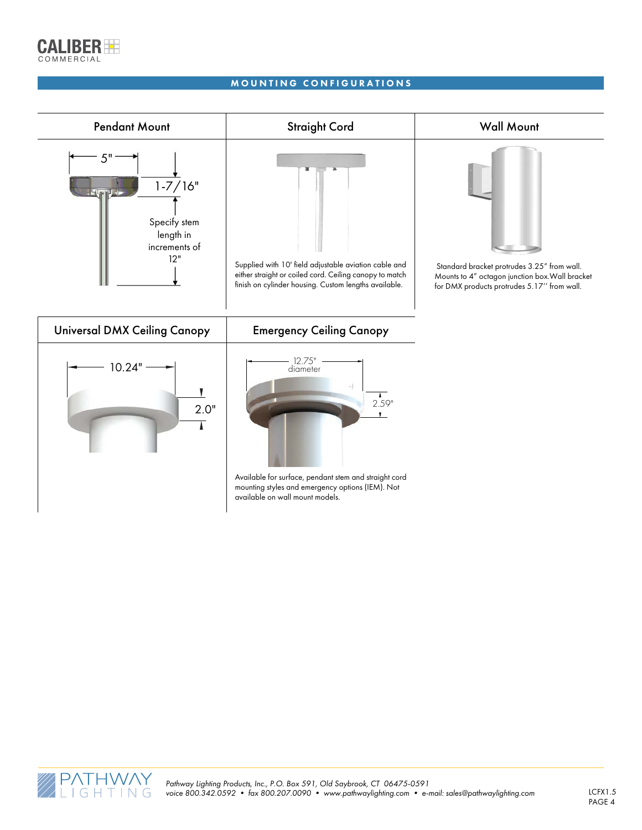

#### MOUNTING CONFIGURATIONS